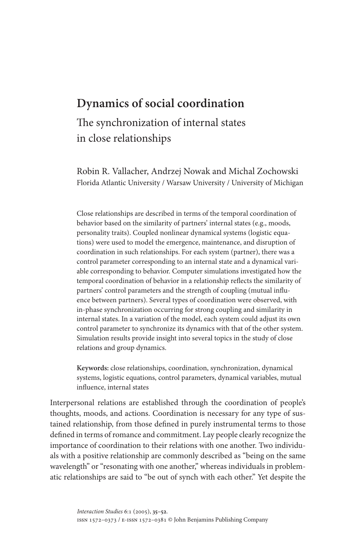# **Dynamics of social coordination**

The synchronization of internal states in close relationships

Robin R. Vallacher, Andrzej Nowak and Michal Zochowski Florida Atlantic University / Warsaw University / University of Michigan

Close relationships are described in terms of the temporal coordination of behavior based on the similarity of partners' internal states (e.g., moods, personality traits). Coupled nonlinear dynamical systems (logistic equations) were used to model the emergence, maintenance, and disruption of coordination in such relationships. For each system (partner), there was a control parameter corresponding to an internal state and a dynamical variable corresponding to behavior. Computer simulations investigated how the temporal coordination of behavior in a relationship reflects the similarity of partners' control parameters and the strength of coupling (mutual influence between partners). Several types of coordination were observed, with in-phase synchronization occurring for strong coupling and similarity in internal states. In a variation of the model, each system could adjust its own control parameter to synchronize its dynamics with that of the other system. Simulation results provide insight into several topics in the study of close relations and group dynamics.

**Keywords:** close relationships, coordination, synchronization, dynamical systems, logistic equations, control parameters, dynamical variables, mutual influence, internal states

Interpersonal relations are established through the coordination of people's thoughts, moods, and actions. Coordination is necessary for any type of sustained relationship, from those defined in purely instrumental terms to those defined in terms of romance and commitment. Lay people clearly recognize the importance of coordination to their relations with one another. Two individuals with a positive relationship are commonly described as "being on the same wavelength" or "resonating with one another," whereas individuals in problematic relationships are said to "be out of synch with each other." Yet despite the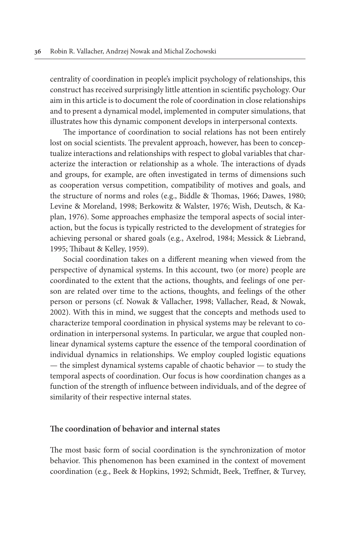centrality of coordination in people's implicit psychology of relationships, this construct has received surprisingly little attention in scientific psychology. Our aim in this article is to document the role of coordination in close relationships and to present a dynamical model, implemented in computer simulations, that illustrates how this dynamic component develops in interpersonal contexts.

The importance of coordination to social relations has not been entirely lost on social scientists. The prevalent approach, however, has been to conceptualize interactions and relationships with respect to global variables that characterize the interaction or relationship as a whole. The interactions of dyads and groups, for example, are often investigated in terms of dimensions such as cooperation versus competition, compatibility of motives and goals, and the structure of norms and roles (e.g., Biddle & Thomas, 1966; Dawes, 1980; Levine & Moreland, 1998; Berkowitz & Walster, 1976; Wish, Deutsch, & Kaplan, 1976). Some approaches emphasize the temporal aspects of social interaction, but the focus is typically restricted to the development of strategies for achieving personal or shared goals (e.g., Axelrod, 1984; Messick & Liebrand, 1995; Thibaut & Kelley, 1959).

Social coordination takes on a different meaning when viewed from the perspective of dynamical systems. In this account, two (or more) people are coordinated to the extent that the actions, thoughts, and feelings of one person are related over time to the actions, thoughts, and feelings of the other person or persons (cf. Nowak & Vallacher, 1998; Vallacher, Read, & Nowak, 2002). With this in mind, we suggest that the concepts and methods used to characterize temporal coordination in physical systems may be relevant to coordination in interpersonal systems. In particular, we argue that coupled nonlinear dynamical systems capture the essence of the temporal coordination of individual dynamics in relationships. We employ coupled logistic equations — the simplest dynamical systems capable of chaotic behavior — to study the temporal aspects of coordination. Our focus is how coordination changes as a function of the strength of influence between individuals, and of the degree of similarity of their respective internal states.

### **The coordination of behavior and internal states**

The most basic form of social coordination is the synchronization of motor behavior. This phenomenon has been examined in the context of movement coordination (e.g., Beek & Hopkins, 1992; Schmidt, Beek, Treffner, & Turvey,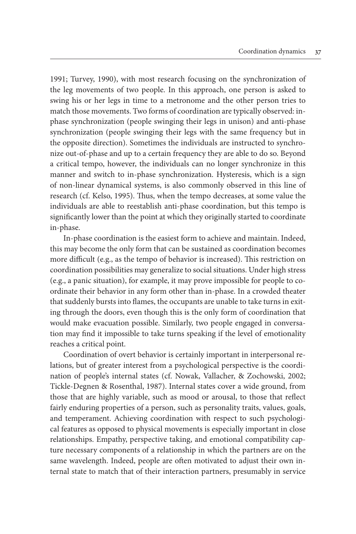1991; Turvey, 1990), with most research focusing on the synchronization of the leg movements of two people. In this approach, one person is asked to swing his or her legs in time to a metronome and the other person tries to match those movements. Two forms of coordination are typically observed: inphase synchronization (people swinging their legs in unison) and anti-phase synchronization (people swinging their legs with the same frequency but in the opposite direction). Sometimes the individuals are instructed to synchronize out-of-phase and up to a certain frequency they are able to do so. Beyond a critical tempo, however, the individuals can no longer synchronize in this manner and switch to in-phase synchronization. Hysteresis, which is a sign of non-linear dynamical systems, is also commonly observed in this line of research (cf. Kelso, 1995). Thus, when the tempo decreases, at some value the individuals are able to reestablish anti-phase coordination, but this tempo is significantly lower than the point at which they originally started to coordinate in-phase.

In-phase coordination is the easiest form to achieve and maintain. Indeed, this may become the only form that can be sustained as coordination becomes more difficult (e.g., as the tempo of behavior is increased). This restriction on coordination possibilities may generalize to social situations. Under high stress (e.g., a panic situation), for example, it may prove impossible for people to coordinate their behavior in any form other than in-phase. In a crowded theater that suddenly bursts into flames, the occupants are unable to take turns in exiting through the doors, even though this is the only form of coordination that would make evacuation possible. Similarly, two people engaged in conversation may find it impossible to take turns speaking if the level of emotionality reaches a critical point.

Coordination of overt behavior is certainly important in interpersonal relations, but of greater interest from a psychological perspective is the coordination of people's internal states (cf. Nowak, Vallacher, & Zochowski, 2002; Tickle-Degnen & Rosenthal, 1987). Internal states cover a wide ground, from those that are highly variable, such as mood or arousal, to those that reflect fairly enduring properties of a person, such as personality traits, values, goals, and temperament. Achieving coordination with respect to such psychological features as opposed to physical movements is especially important in close relationships. Empathy, perspective taking, and emotional compatibility capture necessary components of a relationship in which the partners are on the same wavelength. Indeed, people are often motivated to adjust their own internal state to match that of their interaction partners, presumably in service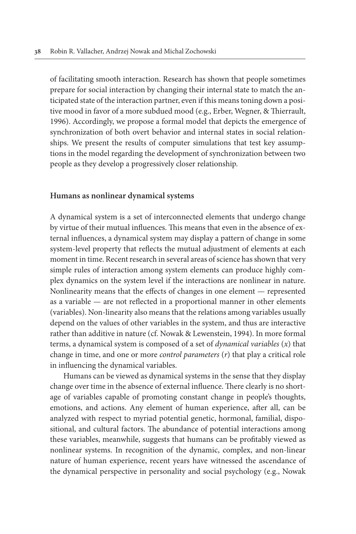of facilitating smooth interaction. Research has shown that people sometimes prepare for social interaction by changing their internal state to match the anticipated state of the interaction partner, even if this means toning down a positive mood in favor of a more subdued mood (e.g., Erber, Wegner, & Thierrault, 1996). Accordingly, we propose a formal model that depicts the emergence of synchronization of both overt behavior and internal states in social relationships. We present the results of computer simulations that test key assumptions in the model regarding the development of synchronization between two people as they develop a progressively closer relationship.

### **Humans as nonlinear dynamical systems**

A dynamical system is a set of interconnected elements that undergo change by virtue of their mutual influences. This means that even in the absence of external influences, a dynamical system may display a pattern of change in some system-level property that reflects the mutual adjustment of elements at each moment in time. Recent research in several areas of science has shown that very simple rules of interaction among system elements can produce highly complex dynamics on the system level if the interactions are nonlinear in nature. Nonlinearity means that the effects of changes in one element — represented as a variable — are not reflected in a proportional manner in other elements (variables). Non-linearity also means that the relations among variables usually depend on the values of other variables in the system, and thus are interactive rather than additive in nature (cf. Nowak & Lewenstein, 1994). In more formal terms, a dynamical system is composed of a set of *dynamical variables* (*x*) that change in time, and one or more *control parameters* (*r*) that play a critical role in influencing the dynamical variables.

Humans can be viewed as dynamical systems in the sense that they display change over time in the absence of external influence. There clearly is no shortage of variables capable of promoting constant change in people's thoughts, emotions, and actions. Any element of human experience, after all, can be analyzed with respect to myriad potential genetic, hormonal, familial, dispositional, and cultural factors. The abundance of potential interactions among these variables, meanwhile, suggests that humans can be profitably viewed as nonlinear systems. In recognition of the dynamic, complex, and non-linear nature of human experience, recent years have witnessed the ascendance of the dynamical perspective in personality and social psychology (e.g., Nowak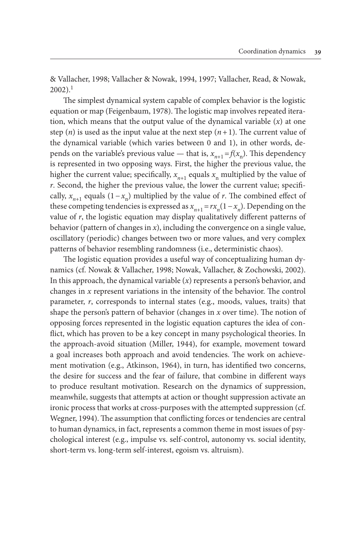& Vallacher, 1998; Vallacher & Nowak, 1994, 1997; Vallacher, Read, & Nowak,  $2002$ ).<sup>1</sup>

The simplest dynamical system capable of complex behavior is the logistic equation or map (Feigenbaum, 1978). The logistic map involves repeated iteration, which means that the output value of the dynamical variable (*x*) at one step  $(n)$  is used as the input value at the next step  $(n+1)$ . The current value of the dynamical variable (which varies between 0 and 1), in other words, depends on the variable's previous value — that is,  $x_{n+1} = f(x_n)$ . This dependency is represented in two opposing ways. First, the higher the previous value, the higher the current value; specifically,  $x_{n+1}$  equals  $x_n$  multiplied by the value of *r*. Second, the higher the previous value, the lower the current value; specifically,  $x_{n+1}$  equals (1 − *x*<sub>n</sub>) multiplied by the value of *r*. The combined effect of these competing tendencies is expressed as  $x_{n+1} = rx_n(1 - x_n)$ . Depending on the value of *r*, the logistic equation may display qualitatively different patterns of behavior (pattern of changes in *x*), including the convergence on a single value, oscillatory (periodic) changes between two or more values, and very complex patterns of behavior resembling randomness (i.e., deterministic chaos).

The logistic equation provides a useful way of conceptualizing human dynamics (cf. Nowak & Vallacher, 1998; Nowak, Vallacher, & Zochowski, 2002). In this approach, the dynamical variable (*x*) represents a person's behavior, and changes in *x* represent variations in the intensity of the behavior. The control parameter, *r*, corresponds to internal states (e.g., moods, values, traits) that shape the person's pattern of behavior (changes in *x* over time). The notion of opposing forces represented in the logistic equation captures the idea of conflict, which has proven to be a key concept in many psychological theories. In the approach-avoid situation (Miller, 1944), for example, movement toward a goal increases both approach and avoid tendencies. The work on achievement motivation (e.g., Atkinson, 1964), in turn, has identified two concerns, the desire for success and the fear of failure, that combine in different ways to produce resultant motivation. Research on the dynamics of suppression, meanwhile, suggests that attempts at action or thought suppression activate an ironic process that works at cross-purposes with the attempted suppression (cf. Wegner, 1994). The assumption that conflicting forces or tendencies are central to human dynamics, in fact, represents a common theme in most issues of psychological interest (e.g., impulse vs. self-control, autonomy vs. social identity, short-term vs. long-term self-interest, egoism vs. altruism).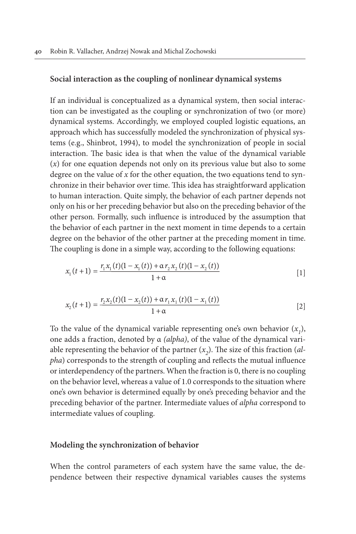# Social interaction as the coupling of nonlinear dynamical systems

If an individual is conceptualized as a dynamical system, then social interaction can be investigated as the coupling or synchronization of two (or more) dynamical systems. Accordingly, we employed coupled logistic equations, an approach which has successfully modeled the synchronization of physical systems (e.g., Shinbrot, 1994), to model the synchronization of people in social interaction. The basic idea is that when the value of the dynamical variable  $(x)$  for one equation depends not only on its previous value but also to some degree on the value of  $x$  for the other equation, the two equations tend to synchronize in their behavior over time. This idea has straightforward application to human interaction. Quite simply, the behavior of each partner depends not only on his or her preceding behavior but also on the preceding behavior of the other person. Formally, such influence is introduced by the assumption that the behavior of each partner in the next moment in time depends to a certain degree on the behavior of the other partner at the preceding moment in time. The coupling is done in a simple way, according to the following equations:

$$
x_1(t+1) = \frac{r_1 x_1(t)(1 - x_1(t)) + \alpha r_2 x_2(t)(1 - x_2(t))}{1 + \alpha} \tag{1}
$$

$$
x_2(t+1) = \frac{r_2 x_2(t)(1 - x_2(t)) + \alpha r_1 x_1(t)(1 - x_1(t))}{1 + \alpha} \tag{2}
$$

To the value of the dynamical variable representing one's own behavior  $(x_1)$ , one adds a fraction, denoted by  $\alpha$  (alpha), of the value of the dynamical variable representing the behavior of the partner  $(x_2)$ . The size of this fraction (alpha) corresponds to the strength of coupling and reflects the mutual influence or interdependency of the partners. When the fraction is 0, there is no coupling on the behavior level, whereas a value of 1.0 corresponds to the situation where one's own behavior is determined equally by one's preceding behavior and the preceding behavior of the partner. Intermediate values of alpha correspond to intermediate values of coupling.

#### Modeling the synchronization of behavior

When the control parameters of each system have the same value, the dependence between their respective dynamical variables causes the systems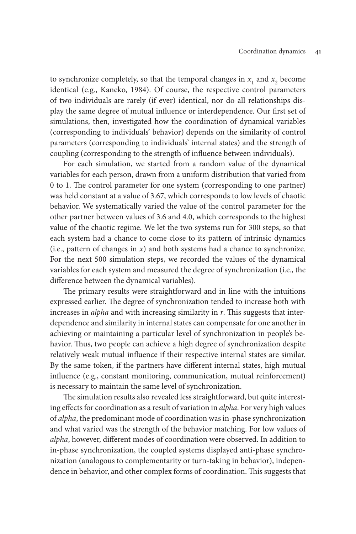to synchronize completely, so that the temporal changes in  $x_1$  and  $x_2$  become identical (e.g., Kaneko, 1984). Of course, the respective control parameters of two individuals are rarely (if ever) identical, nor do all relationships display the same degree of mutual influence or interdependence. Our first set of simulations, then, investigated how the coordination of dynamical variables (corresponding to individuals' behavior) depends on the similarity of control parameters (corresponding to individuals' internal states) and the strength of coupling (corresponding to the strength of influence between individuals).

For each simulation, we started from a random value of the dynamical variables for each person, drawn from a uniform distribution that varied from 0 to 1. The control parameter for one system (corresponding to one partner) was held constant at a value of 3.67, which corresponds to low levels of chaotic behavior. We systematically varied the value of the control parameter for the other partner between values of 3.6 and 4.0, which corresponds to the highest value of the chaotic regime. We let the two systems run for 300 steps, so that each system had a chance to come close to its pattern of intrinsic dynamics (i.e., pattern of changes in *x*) and both systems had a chance to synchronize. For the next 500 simulation steps, we recorded the values of the dynamical variables for each system and measured the degree of synchronization (i.e., the difference between the dynamical variables).

The primary results were straightforward and in line with the intuitions expressed earlier. The degree of synchronization tended to increase both with increases in *alpha* and with increasing similarity in *r*. This suggests that interdependence and similarity in internal states can compensate for one another in achieving or maintaining a particular level of synchronization in people's behavior. Thus, two people can achieve a high degree of synchronization despite relatively weak mutual influence if their respective internal states are similar. By the same token, if the partners have different internal states, high mutual influence (e.g., constant monitoring, communication, mutual reinforcement) is necessary to maintain the same level of synchronization.

The simulation results also revealed less straightforward, but quite interesting effects for coordination as a result of variation in *alpha*. For very high values of *alpha*, the predominant mode of coordination was in-phase synchronization and what varied was the strength of the behavior matching. For low values of *alpha*, however, different modes of coordination were observed. In addition to in-phase synchronization, the coupled systems displayed anti-phase synchronization (analogous to complementarity or turn-taking in behavior), independence in behavior, and other complex forms of coordination. This suggests that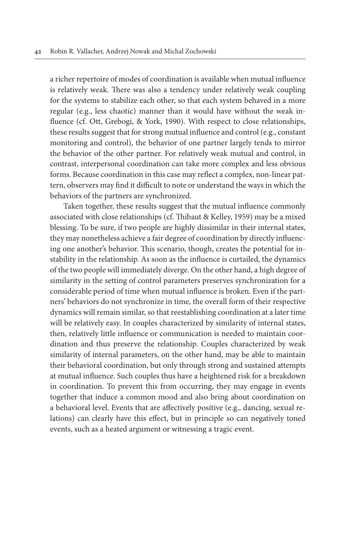a richer repertoire of modes of coordination is available when mutual influence is relatively weak. There was also a tendency under relatively weak coupling for the systems to stabilize each other, so that each system behaved in a more regular (e.g., less chaotic) manner than it would have without the weak influence (cf. Ott, Grebogi, & York, 1990). With respect to close relationships, these results suggest that for strong mutual influence and control (e.g., constant monitoring and control), the behavior of one partner largely tends to mirror the behavior of the other partner. For relatively weak mutual and control, in contrast, interpersonal coordination can take more complex and less obvious forms. Because coordination in this case may reflect a complex, non-linear pattern, observers may find it difficult to note or understand the ways in which the behaviors of the partners are synchronized.

Taken together, these results suggest that the mutual influence commonly associated with close relationships (cf. Thibaut & Kelley, 1959) may be a mixed blessing. To be sure, if two people are highly dissimilar in their internal states, they may nonetheless achieve a fair degree of coordination by directly influencing one another's behavior. This scenario, though, creates the potential for instability in the relationship. As soon as the influence is curtailed, the dynamics of the two people will immediately diverge. On the other hand, a high degree of similarity in the setting of control parameters preserves synchronization for a considerable period of time when mutual influence is broken. Even if the partners' behaviors do not synchronize in time, the overall form of their respective dynamics will remain similar, so that reestablishing coordination at a later time will be relatively easy. In couples characterized by similarity of internal states, then, relatively little influence or communication is needed to maintain coordination and thus preserve the relationship. Couples characterized by weak similarity of internal parameters, on the other hand, may be able to maintain their behavioral coordination, but only through strong and sustained attempts at mutual influence. Such couples thus have a heightened risk for a breakdown in coordination. To prevent this from occurring, they may engage in events together that induce a common mood and also bring about coordination on a behavioral level. Events that are affectively positive (e.g., dancing, sexual relations) can clearly have this effect, but in principle so can negatively toned events, such as a heated argument or witnessing a tragic event.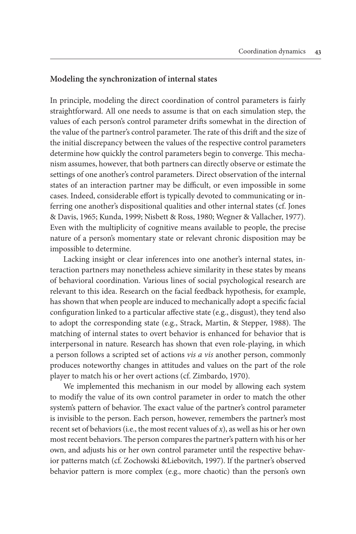# **Modeling the synchronization of internal states**

In principle, modeling the direct coordination of control parameters is fairly straightforward. All one needs to assume is that on each simulation step, the values of each person's control parameter drifts somewhat in the direction of the value of the partner's control parameter. The rate of this drift and the size of the initial discrepancy between the values of the respective control parameters determine how quickly the control parameters begin to converge. This mechanism assumes, however, that both partners can directly observe or estimate the settings of one another's control parameters. Direct observation of the internal states of an interaction partner may be difficult, or even impossible in some cases. Indeed, considerable effort is typically devoted to communicating or inferring one another's dispositional qualities and other internal states (cf. Jones & Davis, 1965; Kunda, 1999; Nisbett & Ross, 1980; Wegner & Vallacher, 1977). Even with the multiplicity of cognitive means available to people, the precise nature of a person's momentary state or relevant chronic disposition may be impossible to determine.

Lacking insight or clear inferences into one another's internal states, interaction partners may nonetheless achieve similarity in these states by means of behavioral coordination. Various lines of social psychological research are relevant to this idea. Research on the facial feedback hypothesis, for example, has shown that when people are induced to mechanically adopt a specific facial configuration linked to a particular affective state (e.g., disgust), they tend also to adopt the corresponding state (e.g., Strack, Martin, & Stepper, 1988). The matching of internal states to overt behavior is enhanced for behavior that is interpersonal in nature. Research has shown that even role-playing, in which a person follows a scripted set of actions *vis a vis* another person, commonly produces noteworthy changes in attitudes and values on the part of the role player to match his or her overt actions (cf. Zimbardo, 1970).

We implemented this mechanism in our model by allowing each system to modify the value of its own control parameter in order to match the other system's pattern of behavior. The exact value of the partner's control parameter is invisible to the person. Each person, however, remembers the partner's most recent set of behaviors (i.e., the most recent values of  $x$ ), as well as his or her own most recent behaviors. The person compares the partner's pattern with his or her own, and adjusts his or her own control parameter until the respective behavior patterns match (cf. Zochowski &Liebovitch, 1997). If the partner's observed behavior pattern is more complex (e.g., more chaotic) than the person's own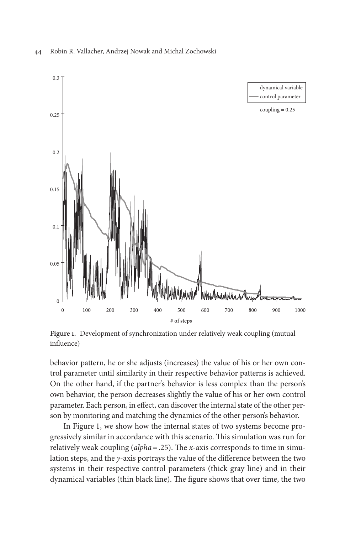

Figure 1. Development of synchronization under relatively weak coupling (mutual influence)

behavior pattern, he or she adjusts (increases) the value of his or her own control parameter until similarity in their respective behavior patterns is achieved. On the other hand, if the partner's behavior is less complex than the person's own behavior, the person decreases slightly the value of his or her own control parameter. Each person, in effect, can discover the internal state of the other person by monitoring and matching the dynamics of the other person's behavior.

In Figure 1, we show how the internal states of two systems become progressively similar in accordance with this scenario. This simulation was run for relatively weak coupling ( $alpha = .25$ ). The x-axis corresponds to time in simulation steps, and the y-axis portrays the value of the difference between the two systems in their respective control parameters (thick gray line) and in their dynamical variables (thin black line). The figure shows that over time, the two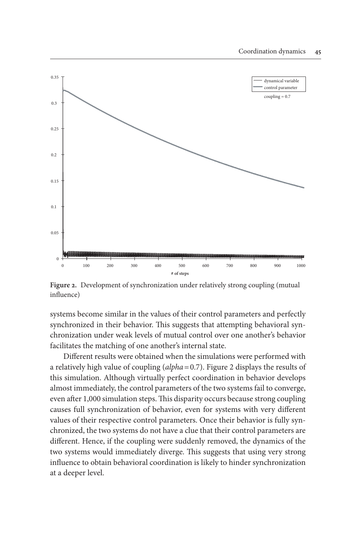

Figure 2. Development of synchronization under relatively strong coupling (mutual influence)

systems become similar in the values of their control parameters and perfectly synchronized in their behavior. This suggests that attempting behavioral synchronization under weak levels of mutual control over one another's behavior facilitates the matching of one another's internal state.

Different results were obtained when the simulations were performed with a relatively high value of coupling  $(alpha = 0.7)$ . Figure 2 displays the results of this simulation. Although virtually perfect coordination in behavior develops almost immediately, the control parameters of the two systems fail to converge, even after 1,000 simulation steps. This disparity occurs because strong coupling causes full synchronization of behavior, even for systems with very different values of their respective control parameters. Once their behavior is fully synchronized, the two systems do not have a clue that their control parameters are different. Hence, if the coupling were suddenly removed, the dynamics of the two systems would immediately diverge. This suggests that using very strong influence to obtain behavioral coordination is likely to hinder synchronization at a deeper level.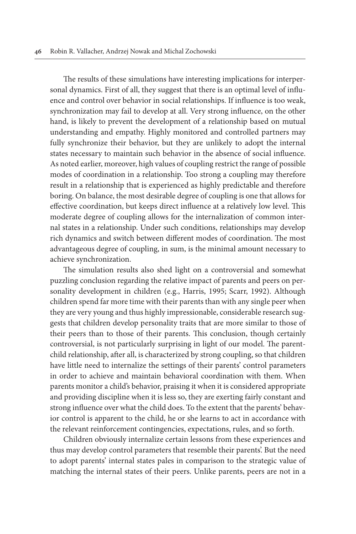The results of these simulations have interesting implications for interpersonal dynamics. First of all, they suggest that there is an optimal level of influence and control over behavior in social relationships. If influence is too weak, synchronization may fail to develop at all. Very strong influence, on the other hand, is likely to prevent the development of a relationship based on mutual understanding and empathy. Highly monitored and controlled partners may fully synchronize their behavior, but they are unlikely to adopt the internal states necessary to maintain such behavior in the absence of social influence. As noted earlier, moreover, high values of coupling restrict the range of possible modes of coordination in a relationship. Too strong a coupling may therefore result in a relationship that is experienced as highly predictable and therefore boring. On balance, the most desirable degree of coupling is one that allows for effective coordination, but keeps direct influence at a relatively low level. This moderate degree of coupling allows for the internalization of common internal states in a relationship. Under such conditions, relationships may develop rich dynamics and switch between different modes of coordination. The most advantageous degree of coupling, in sum, is the minimal amount necessary to achieve synchronization.

The simulation results also shed light on a controversial and somewhat puzzling conclusion regarding the relative impact of parents and peers on personality development in children (e.g., Harris, 1995; Scarr, 1992). Although children spend far more time with their parents than with any single peer when they are very young and thus highly impressionable, considerable research suggests that children develop personality traits that are more similar to those of their peers than to those of their parents. This conclusion, though certainly controversial, is not particularly surprising in light of our model. The parentchild relationship, after all, is characterized by strong coupling, so that children have little need to internalize the settings of their parents' control parameters in order to achieve and maintain behavioral coordination with them. When parents monitor a child's behavior, praising it when it is considered appropriate and providing discipline when it is less so, they are exerting fairly constant and strong influence over what the child does. To the extent that the parents' behavior control is apparent to the child, he or she learns to act in accordance with the relevant reinforcement contingencies, expectations, rules, and so forth.

Children obviously internalize certain lessons from these experiences and thus may develop control parameters that resemble their parents'. But the need to adopt parents' internal states pales in comparison to the strategic value of matching the internal states of their peers. Unlike parents, peers are not in a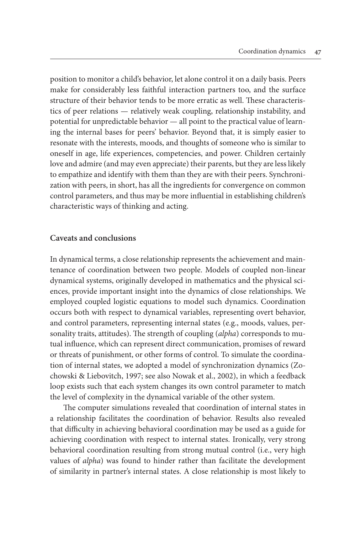position to monitor a child's behavior, let alone control it on a daily basis. Peers make for considerably less faithful interaction partners too, and the surface structure of their behavior tends to be more erratic as well. These characteristics of peer relations — relatively weak coupling, relationship instability, and potential for unpredictable behavior — all point to the practical value of learning the internal bases for peers' behavior. Beyond that, it is simply easier to resonate with the interests, moods, and thoughts of someone who is similar to oneself in age, life experiences, competencies, and power. Children certainly love and admire (and may even appreciate) their parents, but they are less likely to empathize and identify with them than they are with their peers. Synchronization with peers, in short, has all the ingredients for convergence on common control parameters, and thus may be more influential in establishing children's characteristic ways of thinking and acting.

# **Caveats and conclusions**

In dynamical terms, a close relationship represents the achievement and maintenance of coordination between two people. Models of coupled non-linear dynamical systems, originally developed in mathematics and the physical sciences, provide important insight into the dynamics of close relationships. We employed coupled logistic equations to model such dynamics. Coordination occurs both with respect to dynamical variables, representing overt behavior, and control parameters, representing internal states (e.g., moods, values, personality traits, attitudes). The strength of coupling (*alpha*) corresponds to mutual influence, which can represent direct communication, promises of reward or threats of punishment, or other forms of control. To simulate the coordination of internal states, we adopted a model of synchronization dynamics (Zochowski & Liebovitch, 1997; see also Nowak et al., 2002), in which a feedback loop exists such that each system changes its own control parameter to match the level of complexity in the dynamical variable of the other system.

The computer simulations revealed that coordination of internal states in a relationship facilitates the coordination of behavior. Results also revealed that difficulty in achieving behavioral coordination may be used as a guide for achieving coordination with respect to internal states. Ironically, very strong behavioral coordination resulting from strong mutual control (i.e., very high values of *alpha*) was found to hinder rather than facilitate the development of similarity in partner's internal states. A close relationship is most likely to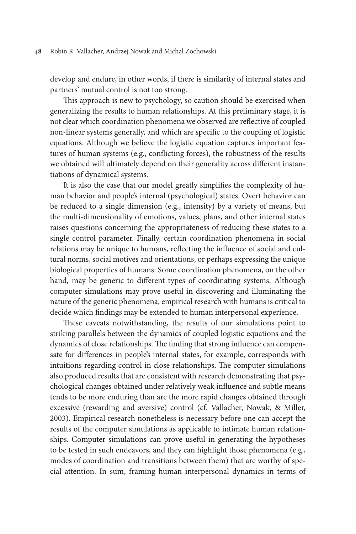develop and endure, in other words, if there is similarity of internal states and partners' mutual control is not too strong.

This approach is new to psychology, so caution should be exercised when generalizing the results to human relationships. At this preliminary stage, it is not clear which coordination phenomena we observed are reflective of coupled non-linear systems generally, and which are specific to the coupling of logistic equations. Although we believe the logistic equation captures important features of human systems (e.g., conflicting forces), the robustness of the results we obtained will ultimately depend on their generality across different instantiations of dynamical systems.

It is also the case that our model greatly simplifies the complexity of human behavior and people's internal (psychological) states. Overt behavior can be reduced to a single dimension (e.g., intensity) by a variety of means, but the multi-dimensionality of emotions, values, plans, and other internal states raises questions concerning the appropriateness of reducing these states to a single control parameter. Finally, certain coordination phenomena in social relations may be unique to humans, reflecting the influence of social and cultural norms, social motives and orientations, or perhaps expressing the unique biological properties of humans. Some coordination phenomena, on the other hand, may be generic to different types of coordinating systems. Although computer simulations may prove useful in discovering and illuminating the nature of the generic phenomena, empirical research with humans is critical to decide which findings may be extended to human interpersonal experience.

These caveats notwithstanding, the results of our simulations point to striking parallels between the dynamics of coupled logistic equations and the dynamics of close relationships. The finding that strong influence can compensate for differences in people's internal states, for example, corresponds with intuitions regarding control in close relationships. The computer simulations also produced results that are consistent with research demonstrating that psychological changes obtained under relatively weak influence and subtle means tends to be more enduring than are the more rapid changes obtained through excessive (rewarding and aversive) control (cf. Vallacher, Nowak, & Miller, 2003). Empirical research nonetheless is necessary before one can accept the results of the computer simulations as applicable to intimate human relationships. Computer simulations can prove useful in generating the hypotheses to be tested in such endeavors, and they can highlight those phenomena (e.g., modes of coordination and transitions between them) that are worthy of special attention. In sum, framing human interpersonal dynamics in terms of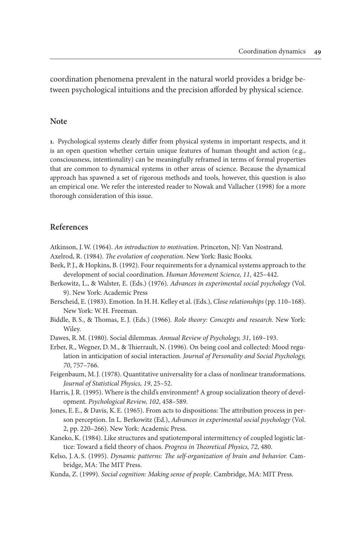coordination phenomena prevalent in the natural world provides a bridge between psychological intuitions and the precision afforded by physical science.

## **Note**

**.** Psychological systems clearly differ from physical systems in important respects, and it is an open question whether certain unique features of human thought and action (e.g., consciousness, intentionality) can be meaningfully reframed in terms of formal properties that are common to dynamical systems in other areas of science. Because the dynamical approach has spawned a set of rigorous methods and tools, however, this question is also an empirical one. We refer the interested reader to Nowak and Vallacher (1998) for a more thorough consideration of this issue.

# **References**

- Atkinson, J. W. (1964). *An introduction to motivation*. Princeton, NJ: Van Nostrand.
- Axelrod, R. (1984). *The evolution of cooperation*. New York: Basic Books.
- Beek, P. J., & Hopkins, B. (1992). Four requirements for a dynamical systems approach to the development of social coordination. *Human Movement Science, 11*, 425–442.
- Berkowitz, L., & Walster, E. (Eds.) (1976). *Advances in experimental social psychology* (Vol. 9). New York: Academic Press
- Berscheid, E. (1983). Emotion. In H. H. Kelley et al*.* (Eds.), *Close relationships* (pp. 110–168). New York: W. H. Freeman.
- Biddle, B. S., & Thomas, E. J. (Eds.) (1966). *Role theory: Concepts and research*. New York: Wiley.
- Dawes, R. M. (1980). Social dilemmas. *Annual Review of Psychology, 31*, 169–193.
- Erber, R., Wegner, D. M., & Thierrault, N. (1996). On being cool and collected: Mood regulation in anticipation of social interaction. *Journal of Personality and Social Psychology, 70*, 757–766.
- Feigenbaum, M. J. (1978). Quantitative universality for a class of nonlinear transformations. *Journal of Statistical Physics, 19*, 25–52.
- Harris, J. R. (1995). Where is the child's environment? A group socialization theory of development. *Psychological Review, 102*, 458–589.
- Jones, E. E., & Davis, K. E. (1965). From acts to dispositions: The attribution process in person perception. In L. Berkowitz (Ed.), *Advances in experimental social psychology* (Vol. 2, pp. 220–266). New York: Academic Press.
- Kaneko, K. (1984). Like structures and spatiotemporal intermittency of coupled logistic lattice: Toward a field theory of chaos. *Progress in Theoretical Physics, 72*, 480.
- Kelso, J. A. S. (1995). *Dynamic patterns: The self-organization of brain and behavior.* Cambridge, MA: The MIT Press.
- Kunda, Z. (1999). *Social cognition: Making sense of people*. Cambridge, MA: MIT Press.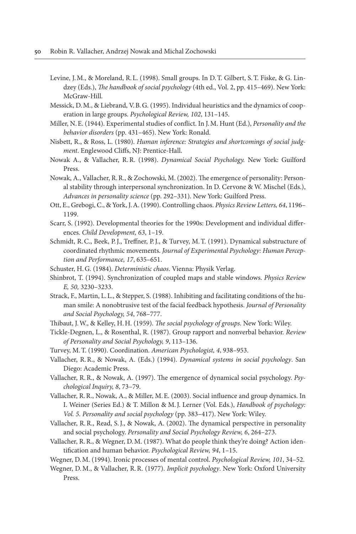- Levine, J. M., & Moreland, R. L. (1998). Small groups. In D. T. Gilbert, S. T. Fiske, & G. Lindzey (Eds.), *The handbook of social psychology* (4th ed., Vol. 2, pp. 415–469). New York: McGraw-Hill.
- Messick, D. M., & Liebrand, V. B. G. (1995). Individual heuristics and the dynamics of cooperation in large groups. *Psychological Review, 102*, 131–145.
- Miller, N. E. (1944). Experimental studies of conflict. In J. M. Hunt (Ed.), *Personality and the behavior disorders* (pp. 431–465). New York: Ronald.
- Nisbett, R., & Ross, L. (1980). *Human inference: Strategies and shortcomings of social judgment*. Englewood Cliffs, NJ: Prentice-Hall.
- Nowak A., & Vallacher, R. R. (1998). *Dynamical Social Psychology.* New York: Guilford Press.
- Nowak, A., Vallacher, R. R., & Zochowski, M. (2002). The emergence of personality: Personal stability through interpersonal synchronization. In D. Cervone & W. Mischel (Eds.), *Advances in personality science* (pp. 292–331). New York: Guilford Press.
- Ott, E., Grebogi, C., & York, J. A. (1990). Controlling chaos. *Physics Review Letters, 64*, 1196– 1199.
- Scarr, S. (1992). Developmental theories for the 1990s: Development and individual differences. *Child Development, 63*, 1–19.
- Schmidt, R. C., Beek, P. J., Treffner, P. J., & Turvey, M. T. (1991). Dynamical substructure of coordinated rhythmic movements. *Journal of Experimental Psychology: Human Perception and Performance, 17*, 635–651.
- Schuster, H. G. (1984). *Deterministic chaos*. Vienna: Physik Verlag.
- Shinbrot, T. (1994). Synchronization of coupled maps and stable windows. *Physics Review E, 50,* 3230–3233.
- Strack, F., Martin, L. L., & Stepper, S. (1988). Inhibiting and facilitating conditions of the human smile: A nonobtrusive test of the facial feedback hypothesis. *Journal of Personality and Social Psychology, 54*, 768–777.
- Thibaut, J. W., & Kelley, H. H. (1959). *The social psychology of groups*. New York: Wiley.
- Tickle-Degnen, L., & Rosenthal, R. (1987). Group rapport and nonverbal behavior. *Review of Personality and Social Psychology, 9*, 113–136.
- Turvey, M. T. (1990). Coordination. *American Psychologist, 4*, 938–953.
- Vallacher, R. R., & Nowak, A. (Eds.) (1994). *Dynamical systems in social psychology*. San Diego: Academic Press.
- Vallacher, R. R., & Nowak, A. (1997). The emergence of dynamical social psychology. *Psychological Inquiry, 8*, 73–79.
- Vallacher, R. R., Nowak, A., & Miller, M. E. (2003). Social influence and group dynamics. In I. Weiner (Series Ed.) & T. Millon & M. J. Lerner (Vol. Eds.), *Handbook of psychology: Vol. 5. Personality and social psychology* (pp. 383–417). New York: Wiley.
- Vallacher, R. R., Read, S. J., & Nowak, A. (2002). The dynamical perspective in personality and social psychology. *Personality and Social Psychology Review, 6*, 264–273.
- Vallacher, R. R., & Wegner, D. M. (1987). What do people think they're doing? Action identification and human behavior. *Psychological Review, 94*, 1–15.
- Wegner, D. M. (1994). Ironic processes of mental control. *Psychological Review, 101*, 34–52.
- Wegner, D. M., & Vallacher, R. R. (1977). *Implicit psychology*. New York: Oxford University Press.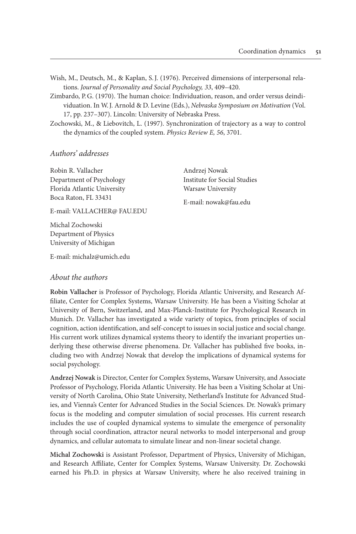- Wish, M., Deutsch, M., & Kaplan, S. J. (1976). Perceived dimensions of interpersonal relations. *Journal of Personality and Social Psychology, 33*, 409–420.
- Zimbardo, P.G. (1970). The human choice: Individuation, reason, and order versus deindividuation. In W. J. Arnold & D. Levine (Eds.), *Nebraska Symposium on Motivation* (Vol. 17, pp. 237–307). Lincoln: University of Nebraska Press.
- Zochowski, M., & Liebovitch, L. (1997). Synchronization of trajectory as a way to control the dynamics of the coupled system. *Physics Review E, 56*, 3701.

# *Authors' addresses*

Robin R. Vallacher Department of Psychology Florida Atlantic University Boca Raton, FL 33431

Andrzej Nowak Institute for Social Studies Warsaw University

E-mail: nowak@fau.edu

E-mail: VALLACHER@ FAU.EDU

Michal Zochowski Department of Physics University of Michigan

E-mail: michalz@umich.edu

# *About the authors*

**Robin Vallacher** is Professor of Psychology, Florida Atlantic University, and Research Affiliate, Center for Complex Systems, Warsaw University. He has been a Visiting Scholar at University of Bern, Switzerland, and Max-Planck-Institute for Psychological Research in Munich. Dr. Vallacher has investigated a wide variety of topics, from principles of social cognition, action identification, and self-concept to issues in social justice and social change. His current work utilizes dynamical systems theory to identify the invariant properties underlying these otherwise diverse phenomena. Dr. Vallacher has published five books, including two with Andrzej Nowak that develop the implications of dynamical systems for social psychology.

**Andrzej Nowak** is Director, Center for Complex Systems, Warsaw University, and Associate Professor of Psychology, Florida Atlantic University. He has been a Visiting Scholar at University of North Carolina, Ohio State University, Netherland's Institute for Advanced Studies, and Vienna's Center for Advanced Studies in the Social Sciences. Dr. Nowak's primary focus is the modeling and computer simulation of social processes. His current research includes the use of coupled dynamical systems to simulate the emergence of personality through social coordination, attractor neural networks to model interpersonal and group dynamics, and cellular automata to simulate linear and non-linear societal change.

**Michal Zochowski** is Assistant Professor, Department of Physics, University of Michigan, and Research Affiliate, Center for Complex Systems, Warsaw University. Dr. Zochowski earned his Ph.D. in physics at Warsaw University, where he also received training in